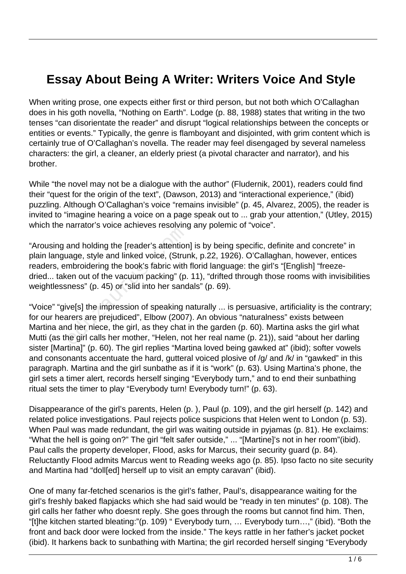## **Essay About Being A Writer: Writers Voice And Style**

When writing prose, one expects either first or third person, but not both which O'Callaghan does in his goth novella, "Nothing on Earth". Lodge (p. 88, 1988) states that writing in the two tenses "can disorientate the reader" and disrupt "logical relationships between the concepts or entities or events." Typically, the genre is flamboyant and disjointed, with grim content which is certainly true of O'Callaghan's novella. The reader may feel disengaged by several nameless characters: the girl, a cleaner, an elderly priest (a pivotal character and narrator), and his brother.

While "the novel may not be a dialogue with the author" (Fludernik, 2001), readers could find their "quest for the origin of the text", (Dawson, 2013) and "interactional experience," (ibid) puzzling. Although O'Callaghan's voice "remains invisible" (p. 45, Alvarez, 2005), the reader is invited to "imagine hearing a voice on a page speak out to ... grab your attention," (Utley, 2015) which the narrator's voice achieves resolving any polemic of "voice".

"Arousing and holding the [reader's attention] is by being specific, definite and concrete" in plain language, style and linked voice, (Strunk, p.22, 1926). O'Callaghan, however, entices readers, embroidering the book's fabric with florid language: the girl's "[English] "freezedried... taken out of the vacuum packing" (p. 11), "drifted through those rooms with invisibilities weightlessness" (p. 45) or "slid into her sandals" (p. 69). and holding the [reader's attention<br>age, style and linked voice, (Strum<br>mbroidering the book's fabric with<br>en out of the vacuum packing" (p.<br>ness" (p. 45) or "slid into her sand<br>ve[s] the impression of speaking r<br>arers are

"Voice" "give[s] the impression of speaking naturally ... is persuasive, artificiality is the contrary; for our hearers are prejudiced", Elbow (2007). An obvious "naturalness" exists between Martina and her niece, the girl, as they chat in the garden (p. 60). Martina asks the girl what Mutti (as the girl calls her mother, "Helen, not her real name (p. 21)), said "about her darling sister [Martina]" (p. 60). The girl replies "Martina loved being gawked at" (ibid); softer vowels and consonants accentuate the hard, gutteral voiced plosive of /g/ and /k/ in "gawked" in this paragraph. Martina and the girl sunbathe as if it is "work" (p. 63). Using Martina's phone, the girl sets a timer alert, records herself singing "Everybody turn," and to end their sunbathing ritual sets the timer to play "Everybody turn! Everybody turn!" (p. 63).

Disappearance of the girl's parents, Helen (p. ), Paul (p. 109), and the girl herself (p. 142) and related police investigations. Paul rejects police suspicions that Helen went to London (p. 53). When Paul was made redundant, the girl was waiting outside in pyjamas (p. 81). He exclaims: "What the hell is going on?" The girl "felt safer outside," ... "[Martine]'s not in her room"(ibid). Paul calls the property developer, Flood, asks for Marcus, their security guard (p. 84). Reluctantly Flood admits Marcus went to Reading weeks ago (p. 85). Ipso facto no site security and Martina had "doll[ed] herself up to visit an empty caravan" (ibid).

One of many far-fetched scenarios is the girl's father, Paul's, disappearance waiting for the girl's freshly baked flapjacks which she had said would be "ready in ten minutes" (p. 108). The girl calls her father who doesnt reply. She goes through the rooms but cannot find him. Then, "[t]he kitchen started bleating:"(p. 109) " Everybody turn, … Everybody turn…," (ibid). "Both the front and back door were locked from the inside." The keys rattle in her father's jacket pocket (ibid). It harkens back to sunbathing with Martina; the girl recorded herself singing "Everybody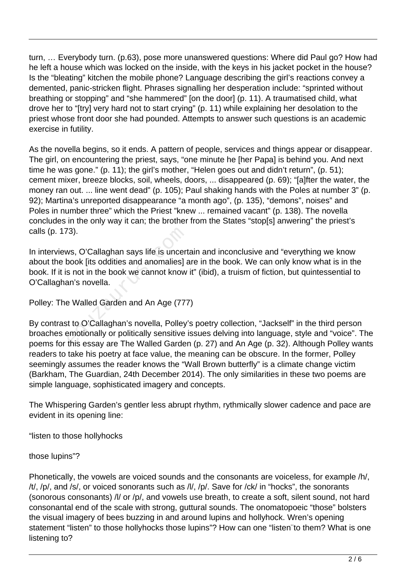turn, … Everybody turn. (p.63), pose more unanswered questions: Where did Paul go? How had he left a house which was locked on the inside, with the keys in his jacket pocket in the house? Is the "bleating" kitchen the mobile phone? Language describing the girl's reactions convey a demented, panic-stricken flight. Phrases signalling her desperation include: "sprinted without breathing or stopping" and "she hammered" [on the door] (p. 11). A traumatised child, what drove her to "[try] very hard not to start crying" (p. 11) while explaining her desolation to the priest whose front door she had pounded. Attempts to answer such questions is an academic exercise in futility.

As the novella begins, so it ends. A pattern of people, services and things appear or disappear. The girl, on encountering the priest, says, "one minute he [her Papa] is behind you. And next time he was gone." (p. 11); the girl's mother, "Helen goes out and didn't return", (p. 51); cement mixer, breeze blocks, soil, wheels, doors, ... disappeared (p. 69); "[a]fter the water, the money ran out. ... line went dead" (p. 105); Paul shaking hands with the Poles at number 3" (p. 92); Martina's unreported disappearance "a month ago", (p. 135), "demons", noises" and Poles in number three" which the Priest "knew ... remained vacant" (p. 138). The novella concludes in the only way it can; the brother from the States "stop[s] anwering" the priest's calls (p. 173).

In interviews, O'Callaghan says life is uncertain and inconclusive and "everything we know about the book [its oddities and anomalies] are in the book. We can only know what is in the book. If it is not in the book we cannot know it" (ibid), a truism of fiction, but quintessential to O'Callaghan's novella. <sup>7</sup>3).<br>
ws, O'Callaghan says life is uncert<br>
book [its oddities and anomalies] a<br>
s not in the book we cannot know<br>
an's novella.<br>
P Walled Garden and An Age (777<br>
t to O'Callaghan's novella, Polley'<br>
emotionally or politi

Polley: The Walled Garden and An Age (777)

By contrast to O'Callaghan's novella, Polley's poetry collection, "Jackself" in the third person broaches emotionally or politically sensitive issues delving into language, style and "voice". The poems for this essay are The Walled Garden (p. 27) and An Age (p. 32). Although Polley wants readers to take his poetry at face value, the meaning can be obscure. In the former, Polley seemingly assumes the reader knows the "Wall Brown butterfly" is a climate change victim (Barkham, The Guardian, 24th December 2014). The only similarities in these two poems are simple language, sophisticated imagery and concepts.

The Whispering Garden's gentler less abrupt rhythm, rythmically slower cadence and pace are evident in its opening line:

"listen to those hollyhocks

those lupins"?

Phonetically, the vowels are voiced sounds and the consonants are voiceless, for example /h/, /t/, /p/, and /s/, or voiced sonorants such as /l/, /p/. Save for /ck/ in "hocks", the sonorants (sonorous consonants) /l/ or /p/, and vowels use breath, to create a soft, silent sound, not hard consonantal end of the scale with strong, guttural sounds. The onomatopoeic "those" bolsters the visual imagery of bees buzzing in and around lupins and hollyhock. Wren's opening statement "listen" to those hollyhocks those lupins"? How can one "listen¨to them? What is one listening to?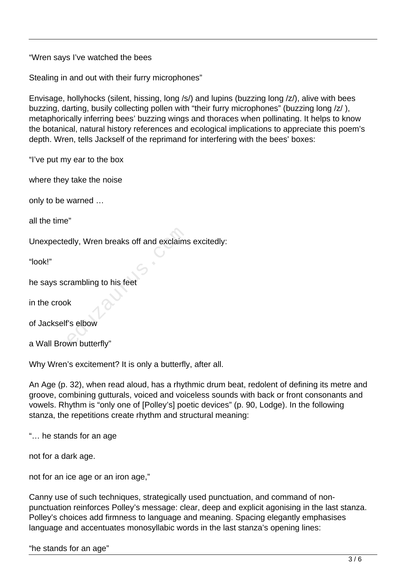"Wren says I've watched the bees

Stealing in and out with their furry microphones"

Envisage, hollyhocks (silent, hissing, long /s/) and lupins (buzzing long /z/), alive with bees buzzing, darting, busily collecting pollen with "their furry microphones" (buzzing long /z/), metaphorically inferring bees' buzzing wings and thoraces when pollinating. It helps to know the botanical, natural history references and ecological implications to appreciate this poem's depth. Wren, tells Jackself of the reprimand for interfering with the bees' boxes:

"I've put my ear to the box

where they take the noise

only to be warned …

all the time"

Unexpectedly, Wren breaks off and exclaims excitedly: edly, Wren breaks off and exclaims<br>
explains:<br>
Frambling to his feet<br>
K<br>
Selbow<br>
wn butterfly"

"look!"

he says scrambling to his feet

in the crook

of Jackself's elbow

a Wall Brown butterfly"

Why Wren's excitement? It is only a butterfly, after all.

An Age (p. 32), when read aloud, has a rhythmic drum beat, redolent of defining its metre and groove, combining gutturals, voiced and voiceless sounds with back or front consonants and vowels. Rhythm is "only one of [Polley's] poetic devices" (p. 90, Lodge). In the following stanza, the repetitions create rhythm and structural meaning:

"… he stands for an age

not for a dark age.

not for an ice age or an iron age,"

Canny use of such techniques, strategically used punctuation, and command of nonpunctuation reinforces Polley's message: clear, deep and explicit agonising in the last stanza. Polley's choices add firmness to language and meaning. Spacing elegantly emphasises language and accentuates monosyllabic words in the last stanza's opening lines: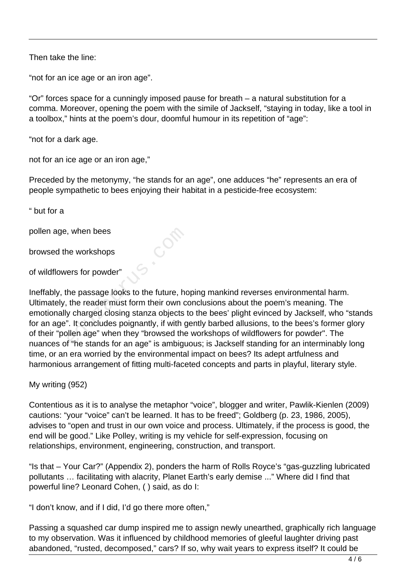Then take the line:

"not for an ice age or an iron age".

"Or" forces space for a cunningly imposed pause for breath – a natural substitution for a comma. Moreover, opening the poem with the simile of Jackself, "staying in today, like a tool in a toolbox," hints at the poem's dour, doomful humour in its repetition of "age":

"not for a dark age.

not for an ice age or an iron age,"

Preceded by the metonymy, "he stands for an age", one adduces "he" represents an era of people sympathetic to bees enjoying their habitat in a pesticide-free ecosystem:

" but for a

pollen age, when bees

browsed the workshops

of wildflowers for powder"

Ineffably, the passage looks to the future, hoping mankind reverses environmental harm. Ultimately, the reader must form their own conclusions about the poem's meaning. The emotionally charged closing stanza objects to the bees' plight evinced by Jackself, who "stands for an age". It concludes poignantly, if with gently barbed allusions, to the bees's former glory of their "pollen age" when they "browsed the workshops of wildflowers for powder". The nuances of "he stands for an age" is ambiguous; is Jackself standing for an interminably long time, or an era worried by the environmental impact on bees? Its adept artfulness and harmonious arrangement of fitting multi-faceted concepts and parts in playful, literary style. when bees<br>
is a workshops<br>
ers for powder"<br>
the passage looks to the future, ho<br>
the reader must form their own corporated closing stanza objects to<br>
the reader when they "browsed the<br>
the stands for an age" is ambique

My writing (952)

Contentious as it is to analyse the metaphor "voice", blogger and writer, Pawlik-Kienlen (2009) cautions: "your "voice" can't be learned. It has to be freed"; Goldberg (p. 23, 1986, 2005), advises to "open and trust in our own voice and process. Ultimately, if the process is good, the end will be good." Like Polley, writing is my vehicle for self-expression, focusing on relationships, environment, engineering, construction, and transport.

"Is that – Your Car?" (Appendix 2), ponders the harm of Rolls Royce's "gas-guzzling lubricated pollutants … facilitating with alacrity, Planet Earth's early demise ..." Where did I find that powerful line? Leonard Cohen, ( ) said, as do I:

"I don't know, and if I did, I'd go there more often,"

Passing a squashed car dump inspired me to assign newly unearthed, graphically rich language to my observation. Was it influenced by childhood memories of gleeful laughter driving past abandoned, "rusted, decomposed," cars? If so, why wait years to express itself? It could be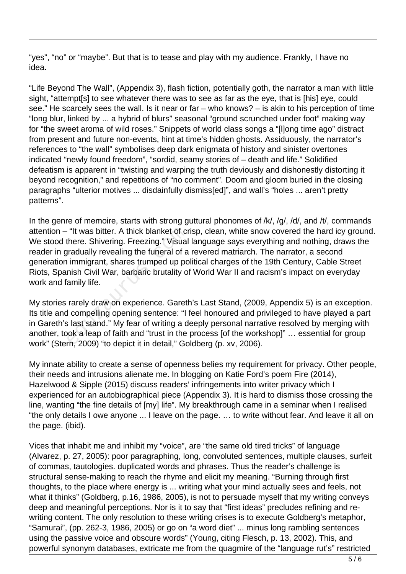"yes", "no" or "maybe". But that is to tease and play with my audience. Frankly, I have no idea.

"Life Beyond The Wall", (Appendix 3), flash fiction, potentially goth, the narrator a man with little sight, "attempt[s] to see whatever there was to see as far as the eye, that is [his] eye, could see." He scarcely sees the wall. Is it near or far – who knows? – is akin to his perception of time "long blur, linked by ... a hybrid of blurs" seasonal "ground scrunched under foot" making way for "the sweet aroma of wild roses." Snippets of world class songs a "[l]ong time ago" distract from present and future non-events, hint at time's hidden ghosts. Assiduously, the narrator's references to "the wall" symbolises deep dark enigmata of history and sinister overtones indicated "newly found freedom", "sordid, seamy stories of – death and life." Solidified defeatism is apparent in "twisting and warping the truth deviously and dishonestly distorting it beyond recognition," and repetitions of "no comment". Doom and gloom buried in the closing paragraphs "ulterior motives ... disdainfully dismiss[ed]", and wall's "holes ... aren't pretty patterns".

In the genre of memoire, starts with strong guttural phonomes of /k/, /g/, /d/, and /t/, commands attention – "It was bitter. A thick blanket of crisp, clean, white snow covered the hard icy ground. We stood there. Shivering. Freezing." Visual language says everything and nothing, draws the reader in gradually revealing the funeral of a revered matriarch. The narrator, a second generation immigrant, shares trumped up political charges of the 19th Century, Cable Street Riots, Spanish Civil War, barbaric brutality of World War II and racism's impact on everyday work and family life. "It was bitter. A thick blanket of critere. Shivering. Freezing." Visual<br>pradually revealing the funeral of a<br>immigrant, shares trumped up po<br>nish Civil War, barbaric brutality o<br>amily life.<br>rarely draw on experience. Gare

My stories rarely draw on experience. Gareth's Last Stand, (2009, Appendix 5) is an exception. Its title and compelling opening sentence: "I feel honoured and privileged to have played a part in Gareth's last stand." My fear of writing a deeply personal narrative resolved by merging with another, took a leap of faith and "trust in the process [of the workshop]" … essential for group work" (Stern, 2009) "to depict it in detail," Goldberg (p. xv, 2006).

My innate ability to create a sense of openness belies my requirement for privacy. Other people, their needs and intrusions alienate me. In blogging on Katie Ford's poem Fire (2014), Hazelwood & Sipple (2015) discuss readers' infringements into writer privacy which I experienced for an autobiographical piece (Appendix 3). It is hard to dismiss those crossing the line, wanting "the fine details of [my] life". My breakthrough came in a seminar when I realised "the only details I owe anyone ... I leave on the page. … to write without fear. And leave it all on the page. (ibid).

Vices that inhabit me and inhibit my "voice", are "the same old tired tricks" of language (Alvarez, p. 27, 2005): poor paragraphing, long, convoluted sentences, multiple clauses, surfeit of commas, tautologies. duplicated words and phrases. Thus the reader's challenge is structural sense-making to reach the rhyme and elicit my meaning. "Burning through first thoughts, to the place where energy is ... writing what your mind actually sees and feels, not what it thinks" (Goldberg, p.16, 1986, 2005), is not to persuade myself that my writing conveys deep and meaningful perceptions. Nor is it to say that "first ideas" precludes refining and rewriting content. The only resolution to these writing crises is to execute Goldberg's metaphor, "Samurai", (pp. 262-3, 1986, 2005) or go on "a word diet" ... minus long rambling sentences using the passive voice and obscure words" (Young, citing Flesch, p. 13, 2002). This, and powerful synonym databases, extricate me from the quagmire of the "language rut's" restricted